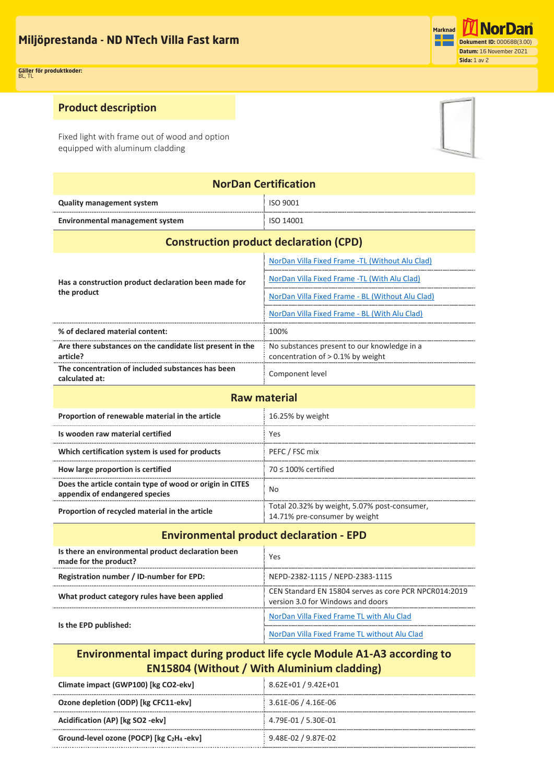

#### **Product description**

Fixed light with frame out of wood and option equipped with aluminum cladding



| <b>NorDan Certification</b>      |           |  |
|----------------------------------|-----------|--|
| <b>Quality management system</b> | ISO 9001  |  |
| Environmental management system  | ISO 14001 |  |

| <b>Construction product declaration (CPD)</b>                         |                                                                                     |  |
|-----------------------------------------------------------------------|-------------------------------------------------------------------------------------|--|
| Has a construction product declaration been made for<br>the product   | NorDan Villa Fixed Frame -TL (Without Alu Clad)                                     |  |
|                                                                       | NorDan Villa Fixed Frame -TL (With Alu Clad)                                        |  |
|                                                                       | NorDan Villa Fixed Frame - BL (Without Alu Clad)                                    |  |
|                                                                       | NorDan Villa Fixed Frame - BL (With Alu Clad)                                       |  |
| % of declared material content:                                       | 100%                                                                                |  |
| Are there substances on the candidate list present in the<br>article? | No substances present to our knowledge in a<br>concentration of $> 0.1\%$ by weight |  |
| The concentration of included substances has been<br>calculated at:   | Component level                                                                     |  |
| <b>Paw material</b>                                                   |                                                                                     |  |

| Proportion of renewable material in the article                                            | 16.25% by weight                                                              |  |
|--------------------------------------------------------------------------------------------|-------------------------------------------------------------------------------|--|
| Is wooden raw material certified                                                           | Yes                                                                           |  |
| Which certification system is used for products                                            | PEFC / FSC mix                                                                |  |
| How large proportion is certified                                                          | $70 < 100\%$ certified                                                        |  |
| Does the article contain type of wood or origin in CITES<br>appendix of endangered species | No                                                                            |  |
| Proportion of recycled material in the article                                             | Total 20.32% by weight, 5.07% post-consumer,<br>14.71% pre-consumer by weight |  |

#### **Environmental product declaration - EPD**

| Is there an environmental product declaration been<br>made for the product? | Yes                                                                                        |
|-----------------------------------------------------------------------------|--------------------------------------------------------------------------------------------|
| Registration number / ID-number for EPD:                                    | NEPD-2382-1115 / NEPD-2383-1115                                                            |
| What product category rules have been applied                               | CEN Standard EN 15804 serves as core PCR NPCR014:2019<br>version 3.0 for Windows and doors |
| Is the EPD published:                                                       | NorDan Villa Fixed Frame TL with Alu Clad                                                  |
|                                                                             | NorDan Villa Fixed Frame TL without Alu Clad                                               |

### **Environmental impact during product life cycle Module A1-A3 according to EN15804 (Without / With Aluminium cladding)**

| Climate impact (GWP100) [kg CO2-ekv]                              | 8.62E+01 / 9.42E+01 |
|-------------------------------------------------------------------|---------------------|
| Ozone depletion (ODP) [kg CFC11-ekv]                              | 3.61E-06 / 4.16E-06 |
| Acidification (AP) [kg SO2 -ekv]                                  | 4.79E-01 / 5.30E-01 |
| Ground-level ozone (POCP) [kg C <sub>2</sub> H <sub>4</sub> -ekv] | 9.48E-02 / 9.87E-02 |